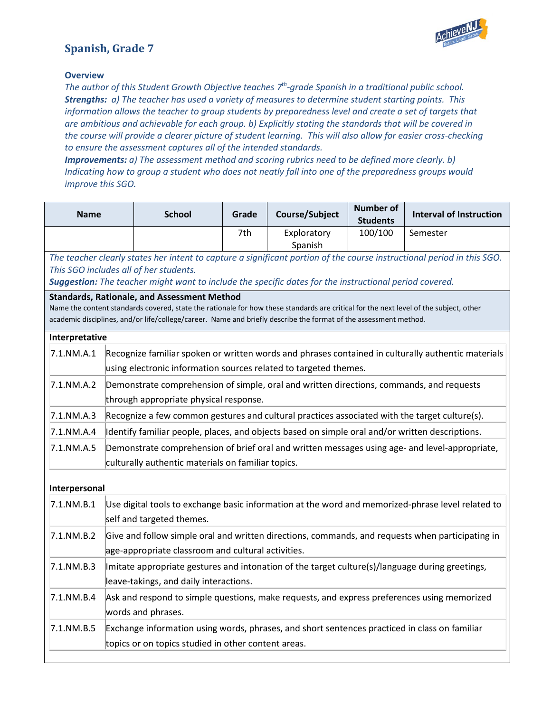

## **Spanish, Grade 7**

## **Overview**

*The author of this Student Growth Objective teaches 7th-grade Spanish in a traditional public school. Strengths: a) The teacher has used a variety of measures to determine student starting points. This information allows the teacher to group students by preparedness level and create a set of targets that are ambitious and achievable for each group. b) Explicitly stating the standards that will be covered in the course will provide a clearer picture of student learning. This will also allow for easier cross-checking to ensure the assessment captures all of the intended standards.* 

*Improvements: a) The assessment method and scoring rubrics need to be defined more clearly. b) Indicating how to group a student who does not neatly fall into one of the preparedness groups would improve this SGO.*

| <b>Name</b>    |                                                                                                                                                                        | <b>School</b>                                                                                                                                                                                                                                                                                                   | Grade | Course/Subject         | <b>Number of</b><br><b>Students</b> | <b>Interval of Instruction</b>                                                                                         |
|----------------|------------------------------------------------------------------------------------------------------------------------------------------------------------------------|-----------------------------------------------------------------------------------------------------------------------------------------------------------------------------------------------------------------------------------------------------------------------------------------------------------------|-------|------------------------|-------------------------------------|------------------------------------------------------------------------------------------------------------------------|
|                |                                                                                                                                                                        |                                                                                                                                                                                                                                                                                                                 | 7th   | Exploratory<br>Spanish | 100/100                             | Semester                                                                                                               |
|                |                                                                                                                                                                        | This SGO includes all of her students.<br>Suggestion: The teacher might want to include the specific dates for the instructional period covered.                                                                                                                                                                |       |                        |                                     | The teacher clearly states her intent to capture a significant portion of the course instructional period in this SGO. |
|                |                                                                                                                                                                        | <b>Standards, Rationale, and Assessment Method</b><br>Name the content standards covered, state the rationale for how these standards are critical for the next level of the subject, other<br>academic disciplines, and/or life/college/career. Name and briefly describe the format of the assessment method. |       |                        |                                     |                                                                                                                        |
| Interpretative |                                                                                                                                                                        |                                                                                                                                                                                                                                                                                                                 |       |                        |                                     |                                                                                                                        |
| $7.1$ .NM.A.1  | Recognize familiar spoken or written words and phrases contained in culturally authentic materials<br>using electronic information sources related to targeted themes. |                                                                                                                                                                                                                                                                                                                 |       |                        |                                     |                                                                                                                        |
| 7.1.NM.A.2     | Demonstrate comprehension of simple, oral and written directions, commands, and requests<br>through appropriate physical response.                                     |                                                                                                                                                                                                                                                                                                                 |       |                        |                                     |                                                                                                                        |
| 7.1.NM.A.3     | Recognize a few common gestures and cultural practices associated with the target culture(s).                                                                          |                                                                                                                                                                                                                                                                                                                 |       |                        |                                     |                                                                                                                        |
| 7.1.NM.A.4     |                                                                                                                                                                        | Identify familiar people, places, and objects based on simple oral and/or written descriptions.                                                                                                                                                                                                                 |       |                        |                                     |                                                                                                                        |
| 7.1.NM.A.5     | Demonstrate comprehension of brief oral and written messages using age- and level-appropriate,<br>culturally authentic materials on familiar topics.                   |                                                                                                                                                                                                                                                                                                                 |       |                        |                                     |                                                                                                                        |
| Interpersonal  |                                                                                                                                                                        |                                                                                                                                                                                                                                                                                                                 |       |                        |                                     |                                                                                                                        |
| $7.1$ .NM.B.1  | Use digital tools to exchange basic information at the word and memorized-phrase level related to<br>self and targeted themes.                                         |                                                                                                                                                                                                                                                                                                                 |       |                        |                                     |                                                                                                                        |
| 7.1.NM.B.2     | Give and follow simple oral and written directions, commands, and requests when participating in<br>age-appropriate classroom and cultural activities.                 |                                                                                                                                                                                                                                                                                                                 |       |                        |                                     |                                                                                                                        |
| $7.1$ .NM.B.3  | Imitate appropriate gestures and intonation of the target culture(s)/language during greetings,<br>leave-takings, and daily interactions.                              |                                                                                                                                                                                                                                                                                                                 |       |                        |                                     |                                                                                                                        |
| 7.1.NM.B.4     | Ask and respond to simple questions, make requests, and express preferences using memorized<br>words and phrases.                                                      |                                                                                                                                                                                                                                                                                                                 |       |                        |                                     |                                                                                                                        |
| 7.1.NM.B.5     | Exchange information using words, phrases, and short sentences practiced in class on familiar<br>topics or on topics studied in other content areas.                   |                                                                                                                                                                                                                                                                                                                 |       |                        |                                     |                                                                                                                        |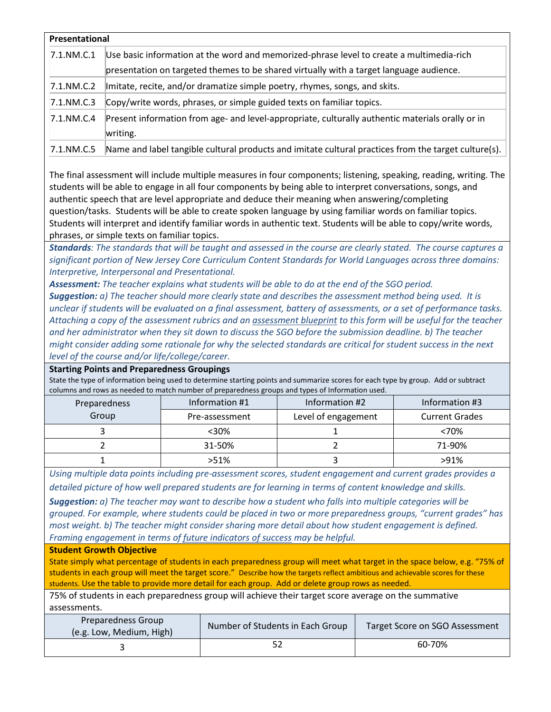| Presentational |                                                                                                                                                                                     |  |  |  |
|----------------|-------------------------------------------------------------------------------------------------------------------------------------------------------------------------------------|--|--|--|
| 7.1.NM.C.1     | Use basic information at the word and memorized-phrase level to create a multimedia-rich<br>presentation on targeted themes to be shared virtually with a target language audience. |  |  |  |
| 7.1.NM.C.2     | Imitate, recite, and/or dramatize simple poetry, rhymes, songs, and skits.                                                                                                          |  |  |  |
| $7.1$ .NM.C.3  | Copy/write words, phrases, or simple guided texts on familiar topics.                                                                                                               |  |  |  |
| 7.1.NM.C.4     | Present information from age- and level-appropriate, culturally authentic materials orally or in<br>writing.                                                                        |  |  |  |
| 7.1.NM.C.5     | Name and label tangible cultural products and imitate cultural practices from the target culture(s).                                                                                |  |  |  |

The final assessment will include multiple measures in four components; listening, speaking, reading, writing. The students will be able to engage in all four components by being able to interpret conversations, songs, and authentic speech that are level appropriate and deduce their meaning when answering/completing question/tasks. Students will be able to create spoken language by using familiar words on familiar topics. Students will interpret and identify familiar words in authentic text. Students will be able to copy/write words, phrases, or simple texts on familiar topics.

*Standards: The standards that will be taught and assessed in the course are clearly stated. The course captures a significant portion of New Jersey Core Curriculum Content Standards for World Languages across three domains: Interpretive, Interpersonal and Presentational.*

*Assessment: The teacher explains what students will be able to do at the end of the SGO period. Suggestion: a) The teacher should more clearly state and describes the assessment method being used. It is unclear if students will be evaluated on a final assessment, battery of assessments, or a set of performance tasks. Attaching a copy of the assessment rubrics and a[n assessment blueprint](http://www.state.nj.us/education/AchieveNJ/teacher/AssessmentBlueprintandCompletionGuide.pdf) to this form will be useful for the teacher and her administrator when they sit down to discuss the SGO before the submission deadline. b) The teacher might consider adding some rationale for why the selected standards are critical for student success in the next level of the course and/or life/college/career.* 

**Starting Points and Preparedness Groupings**

State the type of information being used to determine starting points and summarize scores for each type by group. Add or subtract columns and rows as needed to match number of preparedness groups and types of Information used.

| Preparedness | Information #1 | Information #2      | Information #3        |
|--------------|----------------|---------------------|-----------------------|
| Group        | Pre-assessment | Level of engagement | <b>Current Grades</b> |
|              | $<30\%$        |                     | <70%                  |
|              | 31-50%         |                     | 71-90%                |
|              | $>51\%$        |                     | >91%                  |

*Using multiple data points including pre-assessment scores, student engagement and current grades provides a detailed picture of how well prepared students are for learning in terms of content knowledge and skills.* 

*Suggestion: a) The teacher may want to describe how a student who falls into multiple categories will be grouped. For example, where students could be placed in two or more preparedness groups, "current grades" has most weight. b) The teacher might consider sharing more detail about how student engagement is defined. Framing engagement in terms o[f future indicators of success](http://www.state.nj.us/education/AchieveNJ/teacher/SampleRubricForImportantMarkersOfFutureSuccess.pdf) may be helpful.*

## **Student Growth Objective**

State simply what percentage of students in each preparedness group will meet what target in the space below, e.g. "75% of students in each group will meet the target score." Describe how the targets reflect ambitious and achievable scores for these students. Use the table to provide more detail for each group. Add or delete group rows as needed.

75% of students in each preparedness group will achieve their target score average on the summative assessments.

| Preparedness Group<br>(e.g. Low, Medium, High) | Number of Students in Each Group | Target Score on SGO Assessment |  |
|------------------------------------------------|----------------------------------|--------------------------------|--|
|                                                |                                  | 60-70%                         |  |